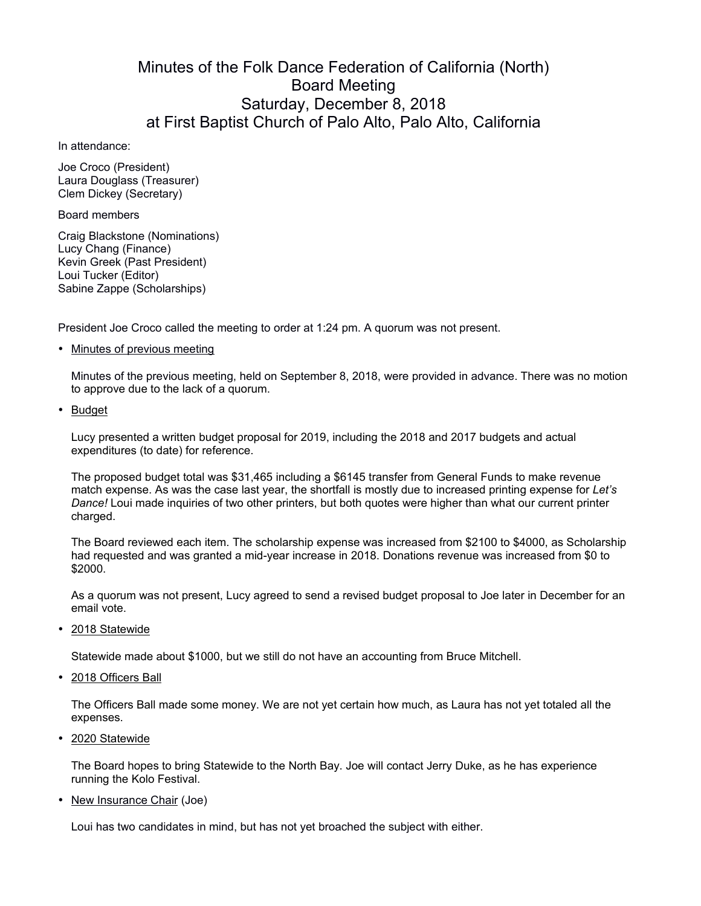## Minutes of the Folk Dance Federation of California (North) Board Meeting Saturday, December 8, 2018 at First Baptist Church of Palo Alto, Palo Alto, California

In attendance:

Joe Croco (President) Laura Douglass (Treasurer) Clem Dickey (Secretary)

Board members

Craig Blackstone (Nominations) Lucy Chang (Finance) Kevin Greek (Past President) Loui Tucker (Editor) Sabine Zappe (Scholarships)

President Joe Croco called the meeting to order at 1:24 pm. A quorum was not present.

• Minutes of previous meeting

Minutes of the previous meeting, held on September 8, 2018, were provided in advance. There was no motion to approve due to the lack of a quorum.

• Budget

Lucy presented a written budget proposal for 2019, including the 2018 and 2017 budgets and actual expenditures (to date) for reference.

The proposed budget total was \$31,465 including a \$6145 transfer from General Funds to make revenue match expense. As was the case last year, the shortfall is mostly due to increased printing expense for *Let's Dance!* Loui made inquiries of two other printers, but both quotes were higher than what our current printer charged.

The Board reviewed each item. The scholarship expense was increased from \$2100 to \$4000, as Scholarship had requested and was granted a mid-year increase in 2018. Donations revenue was increased from \$0 to \$2000.

As a quorum was not present, Lucy agreed to send a revised budget proposal to Joe later in December for an email vote.

• 2018 Statewide

Statewide made about \$1000, but we still do not have an accounting from Bruce Mitchell.

• 2018 Officers Ball

The Officers Ball made some money. We are not yet certain how much, as Laura has not yet totaled all the expenses.

• 2020 Statewide

The Board hopes to bring Statewide to the North Bay. Joe will contact Jerry Duke, as he has experience running the Kolo Festival.

• New Insurance Chair (Joe)

Loui has two candidates in mind, but has not yet broached the subject with either.